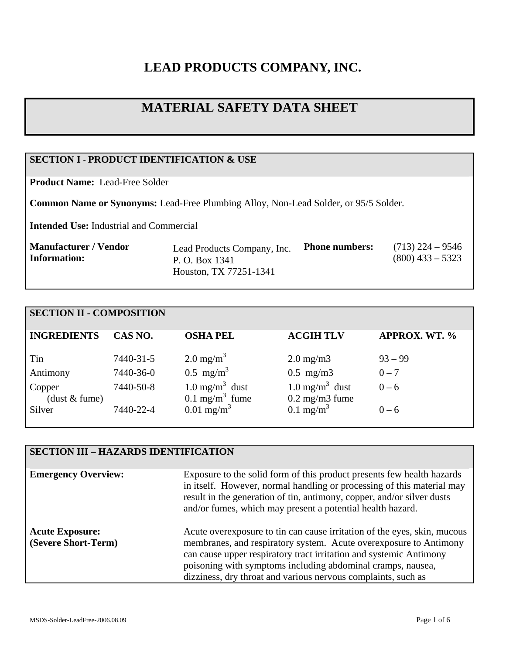# **LEAD PRODUCTS COMPANY, INC.**

### **MATERIAL SAFETY DATA SHEET**

### **SECTION I - PRODUCT IDENTIFICATION & USE**

**Product Name:** Lead-Free Solder

**Common Name or Synonyms:** Lead-Free Plumbing Alloy, Non-Lead Solder, or 95/5 Solder.

**Intended Use:** Industrial and Commercial

| Manufacturer / Vendor | Lead Products Company, Inc. | <b>Phone numbers:</b> | $(713)$ 224 – 9546 |
|-----------------------|-----------------------------|-----------------------|--------------------|
| Information:          | P. O. Box 1341              |                       | $(800)$ 433 – 5323 |
|                       | Houston, TX 77251-1341      |                       |                    |

| <b>SECTION II - COMPOSITION</b> |           |                                                                                      |                                                           |                      |
|---------------------------------|-----------|--------------------------------------------------------------------------------------|-----------------------------------------------------------|----------------------|
| <b>INGREDIENTS</b>              | CAS NO.   | <b>OSHA PEL</b>                                                                      | <b>ACGIH TLV</b>                                          | <b>APPROX. WT. %</b> |
| Tin                             | 7440-31-5 | 2.0 mg/m <sup>3</sup>                                                                | $2.0 \text{ mg/m}$                                        | $93 - 99$            |
| Antimony                        | 7440-36-0 | $0.5$ mg/m <sup>3</sup>                                                              | $0.5$ mg/m $3$                                            | $0 - 7$              |
| Copper<br>(dust & fume)         | 7440-50-8 | $1.0$ mg/m <sup>3</sup> dust<br>0.1 mg/m <sup>3</sup> fume<br>0.01 mg/m <sup>3</sup> | $1.0$ mg/m <sup>3</sup> dust<br>$0.2 \text{ mg/m}$ 3 fume | $0 - 6$              |
| Silver                          | 7440-22-4 |                                                                                      | $0.1 \text{ mg/m}^3$                                      | $0 - 6$              |

#### **SECTION III – HAZARDS IDENTIFICATION**

| <b>Emergency Overview:</b>                    | Exposure to the solid form of this product presents few health hazards<br>in itself. However, normal handling or processing of this material may<br>result in the generation of tin, antimony, copper, and/or silver dusts<br>and/or fumes, which may present a potential health hazard.                                                            |
|-----------------------------------------------|-----------------------------------------------------------------------------------------------------------------------------------------------------------------------------------------------------------------------------------------------------------------------------------------------------------------------------------------------------|
| <b>Acute Exposure:</b><br>(Severe Short-Term) | Acute overexposure to tin can cause irritation of the eyes, skin, mucous<br>membranes, and respiratory system. Acute overexposure to Antimony<br>can cause upper respiratory tract irritation and systemic Antimony<br>poisoning with symptoms including abdominal cramps, nausea,<br>dizziness, dry throat and various nervous complaints, such as |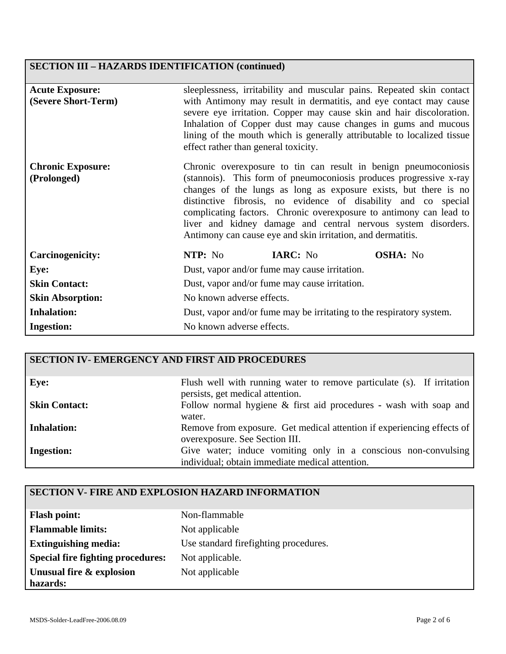# **SECTION III – HAZARDS IDENTIFICATION (continued)**

| <b>Acute Exposure:</b>                  | sleeplessness, irritability and muscular pains. Repeated skin contact                                                                                                                                                                                                                                                                                                                                                                                                             |  |  |
|-----------------------------------------|-----------------------------------------------------------------------------------------------------------------------------------------------------------------------------------------------------------------------------------------------------------------------------------------------------------------------------------------------------------------------------------------------------------------------------------------------------------------------------------|--|--|
| (Severe Short-Term)                     | with Antimony may result in dermatitis, and eye contact may cause<br>severe eye irritation. Copper may cause skin and hair discoloration.<br>Inhalation of Copper dust may cause changes in gums and mucous<br>lining of the mouth which is generally attributable to localized tissue<br>effect rather than general toxicity.                                                                                                                                                    |  |  |
| <b>Chronic Exposure:</b><br>(Prolonged) | Chronic overexposure to tin can result in benign pneumoconiosis<br>(stannois). This form of pneumoconiosis produces progressive x-ray<br>changes of the lungs as long as exposure exists, but there is no<br>distinctive fibrosis, no evidence of disability and co special<br>complicating factors. Chronic overexposure to antimony can lead to<br>liver and kidney damage and central nervous system disorders.<br>Antimony can cause eye and skin irritation, and dermatitis. |  |  |
| <b>Carcinogenicity:</b>                 | <b>IARC:</b> No<br>NTP: No<br><b>OSHA:</b> No                                                                                                                                                                                                                                                                                                                                                                                                                                     |  |  |
| Eye:                                    | Dust, vapor and/or fume may cause irritation.                                                                                                                                                                                                                                                                                                                                                                                                                                     |  |  |
| <b>Skin Contact:</b>                    | Dust, vapor and/or fume may cause irritation.                                                                                                                                                                                                                                                                                                                                                                                                                                     |  |  |
| <b>Skin Absorption:</b>                 | No known adverse effects.                                                                                                                                                                                                                                                                                                                                                                                                                                                         |  |  |
| <b>Inhalation:</b>                      | Dust, vapor and/or fume may be irritating to the respiratory system.                                                                                                                                                                                                                                                                                                                                                                                                              |  |  |
| <b>Ingestion:</b>                       | No known adverse effects.                                                                                                                                                                                                                                                                                                                                                                                                                                                         |  |  |

| <b>SECTION IV- EMERGENCY AND FIRST AID PROCEDURES</b> |                                                                        |  |
|-------------------------------------------------------|------------------------------------------------------------------------|--|
|                                                       |                                                                        |  |
| Eye:                                                  | Flush well with running water to remove particulate (s). If irritation |  |
|                                                       | persists, get medical attention.                                       |  |
| <b>Skin Contact:</b>                                  | Follow normal hygiene $\&$ first aid procedures - wash with soap and   |  |
|                                                       | water.                                                                 |  |
| <b>Inhalation:</b>                                    | Remove from exposure. Get medical attention if experiencing effects of |  |
|                                                       | overexposure. See Section III.                                         |  |
| <b>Ingestion:</b>                                     | Give water; induce vomiting only in a conscious non-convulsing         |  |
|                                                       | individual; obtain immediate medical attention.                        |  |

### **SECTION V- FIRE AND EXPLOSION HAZARD INFORMATION**

| <b>Flash point:</b>                      | Non-flammable                         |
|------------------------------------------|---------------------------------------|
| <b>Flammable limits:</b>                 | Not applicable                        |
| <b>Extinguishing media:</b>              | Use standard firefighting procedures. |
| <b>Special fire fighting procedures:</b> | Not applicable.                       |
| Unusual fire & explosion                 | Not applicable                        |
| hazards:                                 |                                       |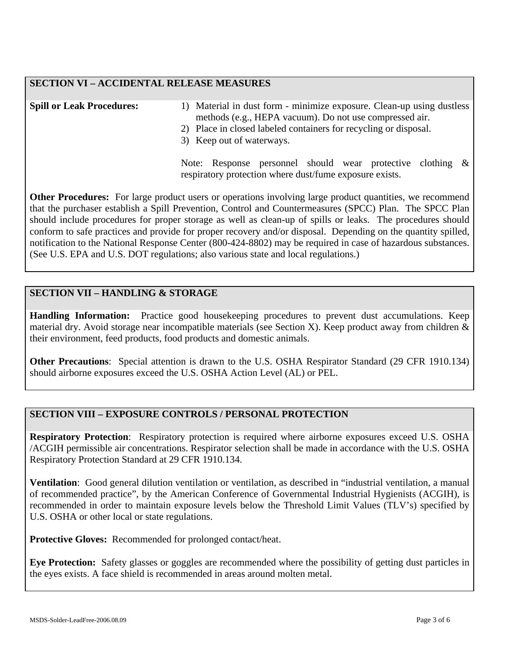#### **SECTION VI – ACCIDENTAL RELEASE MEASURES**

**Spill or Leak Procedures:**

- 1) Material in dust form minimize exposure. Clean-up using dustless methods (e.g., HEPA vacuum). Do not use compressed air.
- 2) Place in closed labeled containers for recycling or disposal.
- 3) Keep out of waterways.

Note: Response personnel should wear protective clothing & respiratory protection where dust/fume exposure exists.

**Other Procedures:** For large product users or operations involving large product quantities, we recommend that the purchaser establish a Spill Prevention, Control and Countermeasures (SPCC) Plan. The SPCC Plan should include procedures for proper storage as well as clean-up of spills or leaks. The procedures should conform to safe practices and provide for proper recovery and/or disposal. Depending on the quantity spilled, notification to the National Response Center (800-424-8802) may be required in case of hazardous substances. (See U.S. EPA and U.S. DOT regulations; also various state and local regulations.)

#### **SECTION VII – HANDLING & STORAGE**

**Handling Information:** Practice good housekeeping procedures to prevent dust accumulations. Keep material dry. Avoid storage near incompatible materials (see Section X). Keep product away from children & their environment, feed products, food products and domestic animals.

**Other Precautions**: Special attention is drawn to the U.S. OSHA Respirator Standard (29 CFR 1910.134) should airborne exposures exceed the U.S. OSHA Action Level (AL) or PEL.

#### **SECTION VIII – EXPOSURE CONTROLS / PERSONAL PROTECTION**

**Respiratory Protection**: Respiratory protection is required where airborne exposures exceed U.S. OSHA /ACGIH permissible air concentrations. Respirator selection shall be made in accordance with the U.S. OSHA Respiratory Protection Standard at 29 CFR 1910.134.

**Ventilation**: Good general dilution ventilation or ventilation, as described in "industrial ventilation, a manual of recommended practice", by the American Conference of Governmental Industrial Hygienists (ACGIH), is recommended in order to maintain exposure levels below the Threshold Limit Values (TLV's) specified by U.S. OSHA or other local or state regulations.

**Protective Gloves:** Recommended for prolonged contact/heat.

**Eye Protection:** Safety glasses or goggles are recommended where the possibility of getting dust particles in the eyes exists. A face shield is recommended in areas around molten metal.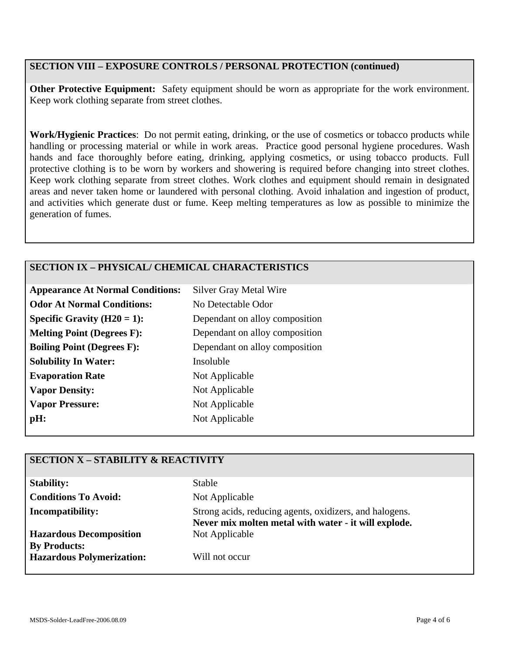#### **SECTION VIII – EXPOSURE CONTROLS / PERSONAL PROTECTION (continued)**

**Other Protective Equipment:** Safety equipment should be worn as appropriate for the work environment. Keep work clothing separate from street clothes.

**Work/Hygienic Practices**: Do not permit eating, drinking, or the use of cosmetics or tobacco products while handling or processing material or while in work areas. Practice good personal hygiene procedures. Wash hands and face thoroughly before eating, drinking, applying cosmetics, or using tobacco products. Full protective clothing is to be worn by workers and showering is required before changing into street clothes. Keep work clothing separate from street clothes. Work clothes and equipment should remain in designated areas and never taken home or laundered with personal clothing. Avoid inhalation and ingestion of product, and activities which generate dust or fume. Keep melting temperatures as low as possible to minimize the generation of fumes.

#### **SECTION IX – PHYSICAL/ CHEMICAL CHARACTERISTICS**

| <b>Appearance At Normal Conditions:</b> | <b>Silver Gray Metal Wire</b>  |
|-----------------------------------------|--------------------------------|
| <b>Odor At Normal Conditions:</b>       | No Detectable Odor             |
| Specific Gravity $(H20 = 1)$ :          | Dependant on alloy composition |
| <b>Melting Point (Degrees F):</b>       | Dependant on alloy composition |
| <b>Boiling Point (Degrees F):</b>       | Dependant on alloy composition |
| <b>Solubility In Water:</b>             | Insoluble                      |
| <b>Evaporation Rate</b>                 | Not Applicable                 |
| <b>Vapor Density:</b>                   | Not Applicable                 |
| <b>Vapor Pressure:</b>                  | Not Applicable                 |
| pH:                                     | Not Applicable                 |

| No Detectable Odor             |
|--------------------------------|
| Dependant on alloy composition |
| Dependant on alloy composition |
| Dependant on alloy composition |
| Insoluble                      |
| Not Applicable                 |
| Not Applicable                 |
| Not Applicable                 |
| Not Applicable                 |

| <b>SECTION X - STABILITY &amp; REACTIVITY</b>         |                                                                                                                 |  |  |
|-------------------------------------------------------|-----------------------------------------------------------------------------------------------------------------|--|--|
| <b>Stability:</b>                                     | Stable                                                                                                          |  |  |
| <b>Conditions To Avoid:</b>                           | Not Applicable                                                                                                  |  |  |
| <b>Incompatibility:</b>                               | Strong acids, reducing agents, oxidizers, and halogens.<br>Never mix molten metal with water - it will explode. |  |  |
| <b>Hazardous Decomposition</b><br><b>By Products:</b> | Not Applicable                                                                                                  |  |  |
| <b>Hazardous Polymerization:</b>                      | Will not occur                                                                                                  |  |  |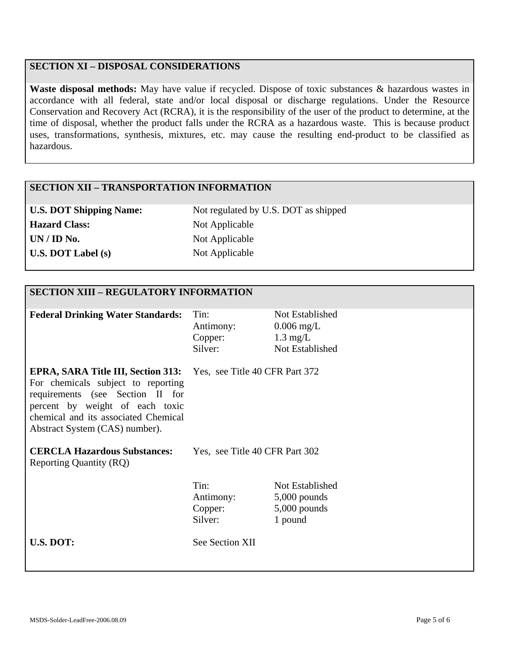#### **SECTION XI – DISPOSAL CONSIDERATIONS**

**Waste disposal methods:** May have value if recycled. Dispose of toxic substances & hazardous wastes in accordance with all federal, state and/or local disposal or discharge regulations. Under the Resource Conservation and Recovery Act (RCRA), it is the responsibility of the user of the product to determine, at the time of disposal, whether the product falls under the RCRA as a hazardous waste. This is because product uses, transformations, synthesis, mixtures, etc. may cause the resulting end-product to be classified as hazardous.

#### **SECTION XII – TRANSPORTATION INFORMATION**

**Hazard Class:** Not Applicable **UN / ID No.** Not Applicable **U.S. DOT Label (s)** Not Applicable

**U.S. DOT Shipping Name:** Not regulated by U.S. DOT as shipped

#### **SECTION XIII – REGULATORY INFORMATION**

| <b>Federal Drinking Water Standards:</b>                                                                                                                                                                                         | Tin:<br>Antimony:<br>Copper:<br>Silver: | Not Established<br>$0.006$ mg/L<br>$1.3 \text{ mg/L}$<br>Not Established |
|----------------------------------------------------------------------------------------------------------------------------------------------------------------------------------------------------------------------------------|-----------------------------------------|--------------------------------------------------------------------------|
| <b>EPRA, SARA Title III, Section 313:</b><br>For chemicals subject to reporting<br>requirements (see Section II for<br>percent by weight of each toxic<br>chemical and its associated Chemical<br>Abstract System (CAS) number). | Yes, see Title 40 CFR Part 372          |                                                                          |
| <b>CERCLA Hazardous Substances:</b><br><b>Reporting Quantity (RQ)</b>                                                                                                                                                            | Yes, see Title 40 CFR Part 302          |                                                                          |
|                                                                                                                                                                                                                                  | Tin:<br>Antimony:<br>Copper:<br>Silver: | Not Established<br>$5,000$ pounds<br>$5,000$ pounds<br>1 pound           |
| U.S. DOT:                                                                                                                                                                                                                        | See Section XII                         |                                                                          |